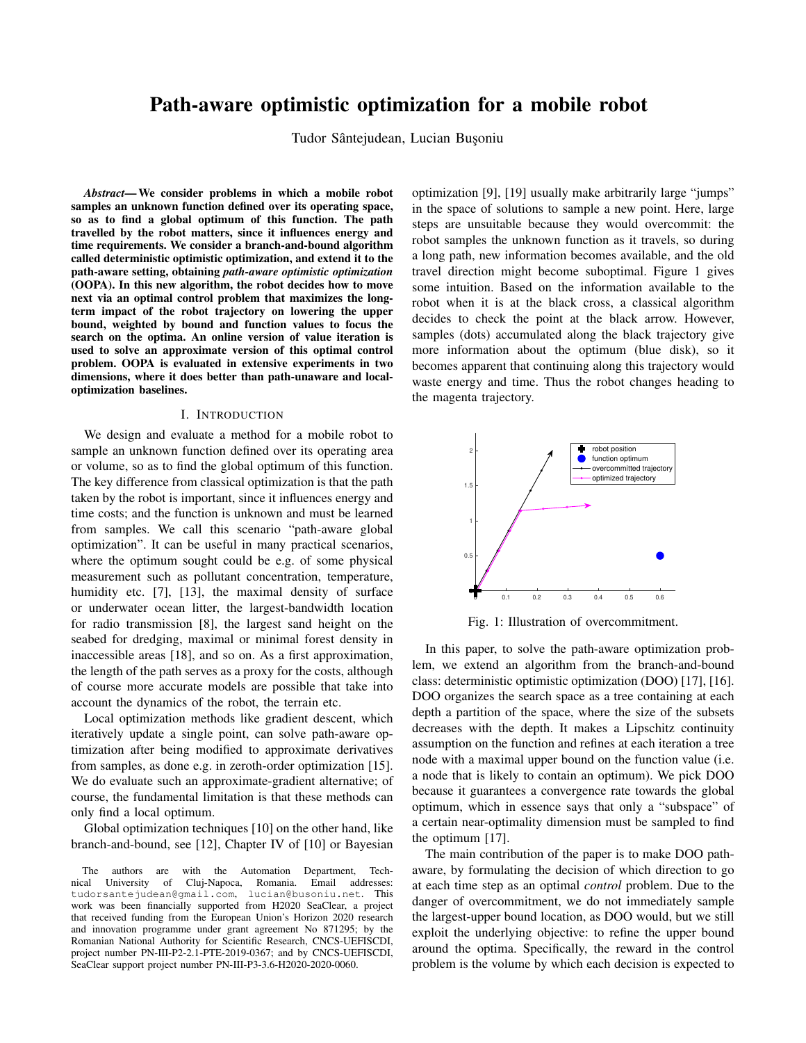# Path-aware optimistic optimization for a mobile robot

Tudor Sântejudean, Lucian Bușoniu

*Abstract*—We consider problems in which a mobile robot samples an unknown function defined over its operating space, so as to find a global optimum of this function. The path travelled by the robot matters, since it influences energy and time requirements. We consider a branch-and-bound algorithm called deterministic optimistic optimization, and extend it to the path-aware setting, obtaining *path-aware optimistic optimization* (OOPA). In this new algorithm, the robot decides how to move next via an optimal control problem that maximizes the longterm impact of the robot trajectory on lowering the upper bound, weighted by bound and function values to focus the search on the optima. An online version of value iteration is used to solve an approximate version of this optimal control problem. OOPA is evaluated in extensive experiments in two dimensions, where it does better than path-unaware and localoptimization baselines.

#### I. INTRODUCTION

We design and evaluate a method for a mobile robot to sample an unknown function defined over its operating area or volume, so as to find the global optimum of this function. The key difference from classical optimization is that the path taken by the robot is important, since it influences energy and time costs; and the function is unknown and must be learned from samples. We call this scenario "path-aware global optimization". It can be useful in many practical scenarios, where the optimum sought could be e.g. of some physical measurement such as pollutant concentration, temperature, humidity etc. [7], [13], the maximal density of surface or underwater ocean litter, the largest-bandwidth location for radio transmission [8], the largest sand height on the seabed for dredging, maximal or minimal forest density in inaccessible areas [18], and so on. As a first approximation, the length of the path serves as a proxy for the costs, although of course more accurate models are possible that take into account the dynamics of the robot, the terrain etc.

Local optimization methods like gradient descent, which iteratively update a single point, can solve path-aware optimization after being modified to approximate derivatives from samples, as done e.g. in zeroth-order optimization [15]. We do evaluate such an approximate-gradient alternative; of course, the fundamental limitation is that these methods can only find a local optimum.

Global optimization techniques [10] on the other hand, like branch-and-bound, see [12], Chapter IV of [10] or Bayesian

The authors are with the Automation Department, Technical University of Cluj-Napoca, Romania. Email addresses: tudorsantejudean@gmail.com, lucian@busoniu.net. This work was been financially supported from H2020 SeaClear, a project that received funding from the European Union's Horizon 2020 research and innovation programme under grant agreement No 871295; by the Romanian National Authority for Scientific Research, CNCS-UEFISCDI, project number PN-III-P2-2.1-PTE-2019-0367; and by CNCS-UEFISCDI, SeaClear support project number PN-III-P3-3.6-H2020-2020-0060.

optimization [9], [19] usually make arbitrarily large "jumps" in the space of solutions to sample a new point. Here, large steps are unsuitable because they would overcommit: the robot samples the unknown function as it travels, so during a long path, new information becomes available, and the old travel direction might become suboptimal. Figure 1 gives some intuition. Based on the information available to the robot when it is at the black cross, a classical algorithm decides to check the point at the black arrow. However, samples (dots) accumulated along the black trajectory give more information about the optimum (blue disk), so it becomes apparent that continuing along this trajectory would waste energy and time. Thus the robot changes heading to the magenta trajectory.



Fig. 1: Illustration of overcommitment.

In this paper, to solve the path-aware optimization problem, we extend an algorithm from the branch-and-bound class: deterministic optimistic optimization (DOO) [17], [16]. DOO organizes the search space as a tree containing at each depth a partition of the space, where the size of the subsets decreases with the depth. It makes a Lipschitz continuity assumption on the function and refines at each iteration a tree node with a maximal upper bound on the function value (i.e. a node that is likely to contain an optimum). We pick DOO because it guarantees a convergence rate towards the global optimum, which in essence says that only a "subspace" of a certain near-optimality dimension must be sampled to find the optimum [17].

The main contribution of the paper is to make DOO pathaware, by formulating the decision of which direction to go at each time step as an optimal *control* problem. Due to the danger of overcommitment, we do not immediately sample the largest-upper bound location, as DOO would, but we still exploit the underlying objective: to refine the upper bound around the optima. Specifically, the reward in the control problem is the volume by which each decision is expected to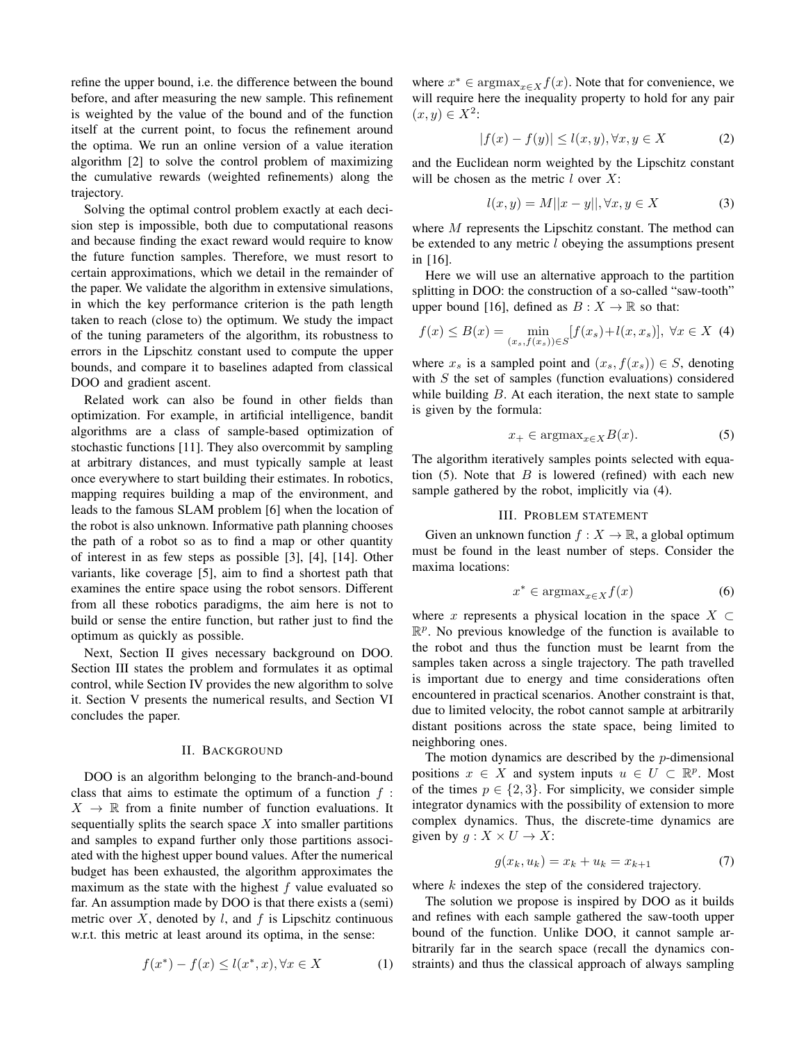refine the upper bound, i.e. the difference between the bound before, and after measuring the new sample. This refinement is weighted by the value of the bound and of the function itself at the current point, to focus the refinement around the optima. We run an online version of a value iteration algorithm [2] to solve the control problem of maximizing the cumulative rewards (weighted refinements) along the trajectory.

Solving the optimal control problem exactly at each decision step is impossible, both due to computational reasons and because finding the exact reward would require to know the future function samples. Therefore, we must resort to certain approximations, which we detail in the remainder of the paper. We validate the algorithm in extensive simulations, in which the key performance criterion is the path length taken to reach (close to) the optimum. We study the impact of the tuning parameters of the algorithm, its robustness to errors in the Lipschitz constant used to compute the upper bounds, and compare it to baselines adapted from classical DOO and gradient ascent.

Related work can also be found in other fields than optimization. For example, in artificial intelligence, bandit algorithms are a class of sample-based optimization of stochastic functions [11]. They also overcommit by sampling at arbitrary distances, and must typically sample at least once everywhere to start building their estimates. In robotics, mapping requires building a map of the environment, and leads to the famous SLAM problem [6] when the location of the robot is also unknown. Informative path planning chooses the path of a robot so as to find a map or other quantity of interest in as few steps as possible [3], [4], [14]. Other variants, like coverage [5], aim to find a shortest path that examines the entire space using the robot sensors. Different from all these robotics paradigms, the aim here is not to build or sense the entire function, but rather just to find the optimum as quickly as possible.

Next, Section II gives necessary background on DOO. Section III states the problem and formulates it as optimal control, while Section IV provides the new algorithm to solve it. Section V presents the numerical results, and Section VI concludes the paper.

#### II. BACKGROUND

DOO is an algorithm belonging to the branch-and-bound class that aims to estimate the optimum of a function  $f$ :  $X \to \mathbb{R}$  from a finite number of function evaluations. It sequentially splits the search space  $X$  into smaller partitions and samples to expand further only those partitions associated with the highest upper bound values. After the numerical budget has been exhausted, the algorithm approximates the maximum as the state with the highest  $f$  value evaluated so far. An assumption made by DOO is that there exists a (semi) metric over  $X$ , denoted by  $l$ , and  $f$  is Lipschitz continuous w.r.t. this metric at least around its optima, in the sense:

$$
f(x^*) - f(x) \le l(x^*, x), \forall x \in X \tag{1}
$$

where  $x^* \in \text{argmax}_{x \in X} f(x)$ . Note that for convenience, we will require here the inequality property to hold for any pair  $(x, y) \in X^2$ :

$$
|f(x) - f(y)| \le l(x, y), \forall x, y \in X \tag{2}
$$

and the Euclidean norm weighted by the Lipschitz constant will be chosen as the metric  $l$  over  $X$ :

$$
l(x, y) = M||x - y||, \forall x, y \in X \tag{3}
$$

where M represents the Lipschitz constant. The method can be extended to any metric l obeying the assumptions present in [16].

Here we will use an alternative approach to the partition splitting in DOO: the construction of a so-called "saw-tooth" upper bound [16], defined as  $B: X \to \mathbb{R}$  so that:

$$
f(x) \le B(x) = \min_{(x_s, f(x_s)) \in S} [f(x_s) + l(x, x_s)], \ \forall x \in X \tag{4}
$$

where  $x_s$  is a sampled point and  $(x_s, f(x_s)) \in S$ , denoting with  $S$  the set of samples (function evaluations) considered while building  $B$ . At each iteration, the next state to sample is given by the formula:

$$
x_{+} \in \operatorname{argmax}_{x \in X} B(x). \tag{5}
$$

The algorithm iteratively samples points selected with equation  $(5)$ . Note that B is lowered (refined) with each new sample gathered by the robot, implicitly via (4).

#### III. PROBLEM STATEMENT

Given an unknown function  $f : X \to \mathbb{R}$ , a global optimum must be found in the least number of steps. Consider the maxima locations:

$$
x^* \in \operatorname{argmax}_{x \in X} f(x) \tag{6}
$$

where x represents a physical location in the space  $X \subset$  $\mathbb{R}^p$ . No previous knowledge of the function is available to the robot and thus the function must be learnt from the samples taken across a single trajectory. The path travelled is important due to energy and time considerations often encountered in practical scenarios. Another constraint is that, due to limited velocity, the robot cannot sample at arbitrarily distant positions across the state space, being limited to neighboring ones.

The motion dynamics are described by the p-dimensional positions  $x \in X$  and system inputs  $u \in U \subset \mathbb{R}^p$ . Most of the times  $p \in \{2, 3\}$ . For simplicity, we consider simple integrator dynamics with the possibility of extension to more complex dynamics. Thus, the discrete-time dynamics are given by  $g: X \times U \rightarrow X$ :

$$
g(x_k, u_k) = x_k + u_k = x_{k+1}
$$
 (7)

where k indexes the step of the considered trajectory.

The solution we propose is inspired by DOO as it builds and refines with each sample gathered the saw-tooth upper bound of the function. Unlike DOO, it cannot sample arbitrarily far in the search space (recall the dynamics constraints) and thus the classical approach of always sampling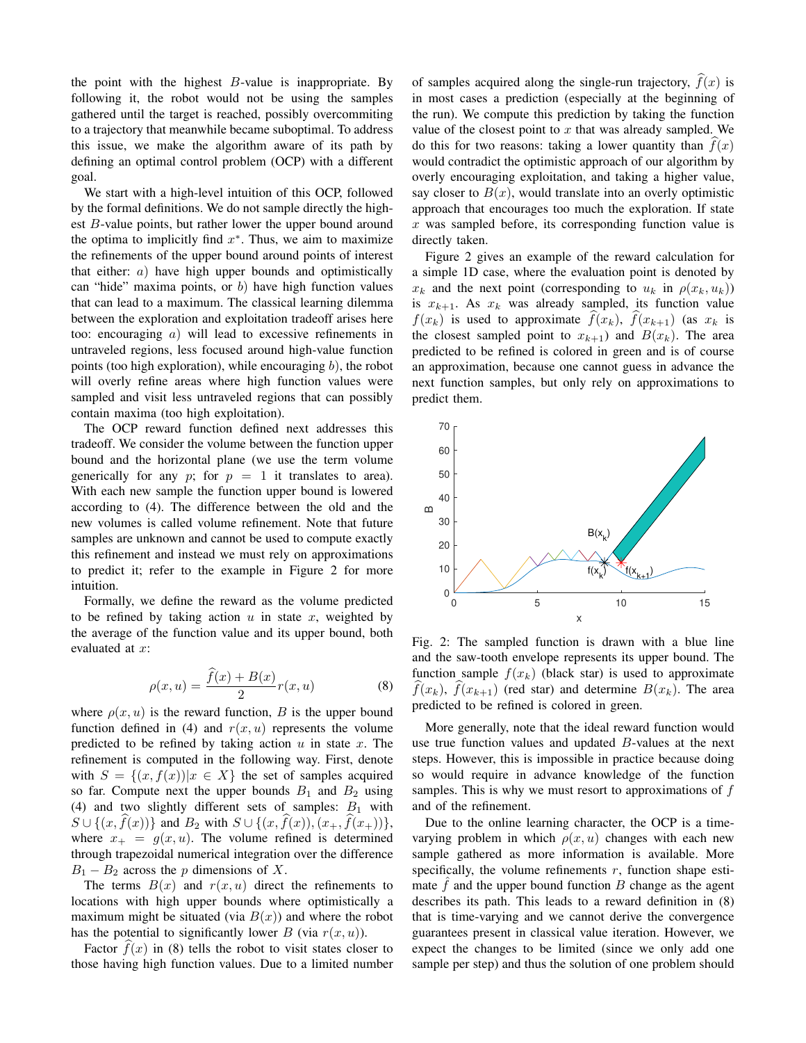the point with the highest  $B$ -value is inappropriate. By following it, the robot would not be using the samples gathered until the target is reached, possibly overcommiting to a trajectory that meanwhile became suboptimal. To address this issue, we make the algorithm aware of its path by defining an optimal control problem (OCP) with a different goal.

We start with a high-level intuition of this OCP, followed by the formal definitions. We do not sample directly the highest B-value points, but rather lower the upper bound around the optima to implicitly find  $x^*$ . Thus, we aim to maximize the refinements of the upper bound around points of interest that either:  $a)$  have high upper bounds and optimistically can "hide" maxima points, or  $b$ ) have high function values that can lead to a maximum. The classical learning dilemma between the exploration and exploitation tradeoff arises here too: encouraging a) will lead to excessive refinements in untraveled regions, less focused around high-value function points (too high exploration), while encouraging  $b$ ), the robot will overly refine areas where high function values were sampled and visit less untraveled regions that can possibly contain maxima (too high exploitation).

The OCP reward function defined next addresses this tradeoff. We consider the volume between the function upper bound and the horizontal plane (we use the term volume generically for any p; for  $p = 1$  it translates to area). With each new sample the function upper bound is lowered according to (4). The difference between the old and the new volumes is called volume refinement. Note that future samples are unknown and cannot be used to compute exactly this refinement and instead we must rely on approximations to predict it; refer to the example in Figure 2 for more intuition.

Formally, we define the reward as the volume predicted to be refined by taking action  $u$  in state  $x$ , weighted by the average of the function value and its upper bound, both evaluated at x:

$$
\rho(x, u) = \frac{\widehat{f}(x) + B(x)}{2} r(x, u)
$$
\n(8)

where  $\rho(x, u)$  is the reward function, B is the upper bound function defined in (4) and  $r(x, u)$  represents the volume predicted to be refined by taking action  $u$  in state  $x$ . The refinement is computed in the following way. First, denote with  $S = \{(x, f(x)) | x \in X\}$  the set of samples acquired so far. Compute next the upper bounds  $B_1$  and  $B_2$  using (4) and two slightly different sets of samples:  $B_1$  with  $S \cup \{(x, f(x))\}$  and  $B_2$  with  $S \cup \{(x, f(x)),(x_+, f(x_+))\},$ where  $x_+ = g(x, u)$ . The volume refined is determined through trapezoidal numerical integration over the difference  $B_1 - B_2$  across the p dimensions of X.

The terms  $B(x)$  and  $r(x, u)$  direct the refinements to locations with high upper bounds where optimistically a maximum might be situated (via  $B(x)$ ) and where the robot has the potential to significantly lower B (via  $r(x, u)$ ).

Factor  $f(x)$  in (8) tells the robot to visit states closer to those having high function values. Due to a limited number

of samples acquired along the single-run trajectory,  $\hat{f}(x)$  is in most cases a prediction (especially at the beginning of the run). We compute this prediction by taking the function value of the closest point to  $x$  that was already sampled. We do this for two reasons: taking a lower quantity than  $f(x)$ would contradict the optimistic approach of our algorithm by overly encouraging exploitation, and taking a higher value, say closer to  $B(x)$ , would translate into an overly optimistic approach that encourages too much the exploration. If state  $x$  was sampled before, its corresponding function value is directly taken.

Figure 2 gives an example of the reward calculation for a simple 1D case, where the evaluation point is denoted by  $x_k$  and the next point (corresponding to  $u_k$  in  $\rho(x_k, u_k)$ ) is  $x_{k+1}$ . As  $x_k$  was already sampled, its function value  $f(x_k)$  is used to approximate  $\hat{f}(x_k)$ ,  $\hat{f}(x_{k+1})$  (as  $x_k$  is the closest sampled point to  $x_{k+1}$  and  $B(x_k)$ . The area predicted to be refined is colored in green and is of course an approximation, because one cannot guess in advance the next function samples, but only rely on approximations to predict them.



Fig. 2: The sampled function is drawn with a blue line and the saw-tooth envelope represents its upper bound. The function sample  $f(x_k)$  (black star) is used to approximate  $f(x_k)$ ,  $f(x_{k+1})$  (red star) and determine  $B(x_k)$ . The area predicted to be refined is colored in green.

More generally, note that the ideal reward function would use true function values and updated B-values at the next steps. However, this is impossible in practice because doing so would require in advance knowledge of the function samples. This is why we must resort to approximations of  $f$ and of the refinement.

Due to the online learning character, the OCP is a timevarying problem in which  $\rho(x, u)$  changes with each new sample gathered as more information is available. More specifically, the volume refinements  $r$ , function shape estimate  $f$  and the upper bound function  $B$  change as the agent describes its path. This leads to a reward definition in (8) that is time-varying and we cannot derive the convergence guarantees present in classical value iteration. However, we expect the changes to be limited (since we only add one sample per step) and thus the solution of one problem should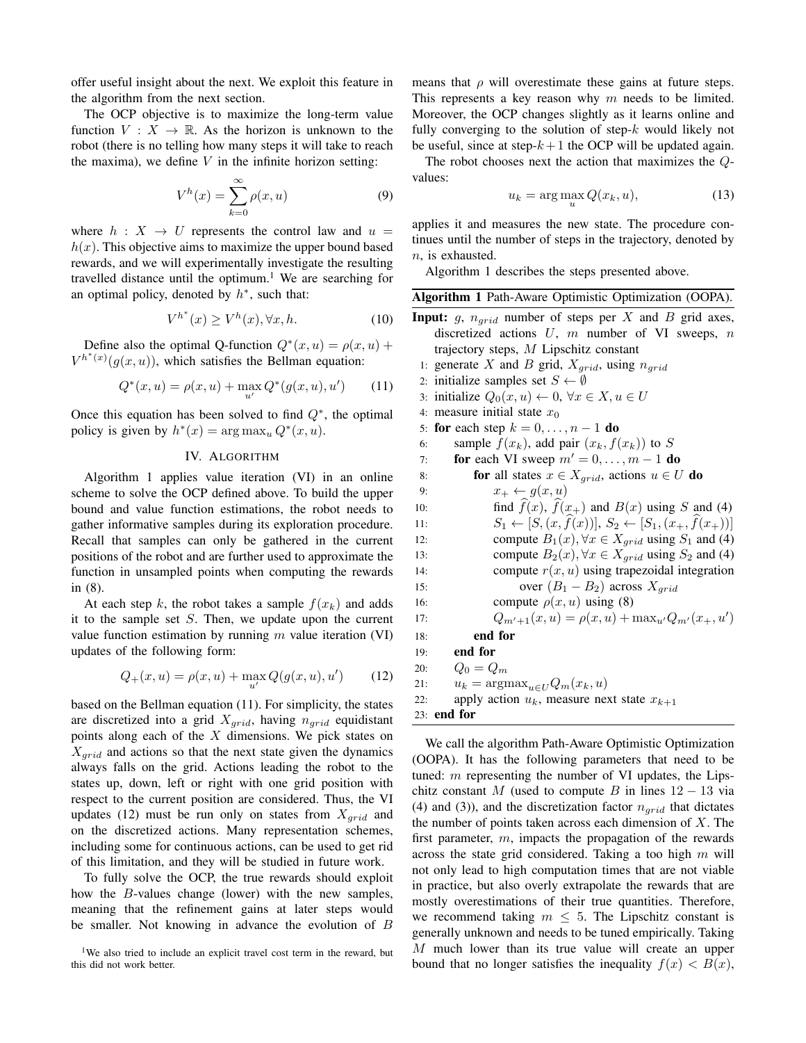offer useful insight about the next. We exploit this feature in the algorithm from the next section.

The OCP objective is to maximize the long-term value function  $V: X \to \mathbb{R}$ . As the horizon is unknown to the robot (there is no telling how many steps it will take to reach the maxima), we define  $V$  in the infinite horizon setting:

$$
V^h(x) = \sum_{k=0}^{\infty} \rho(x, u)
$$
 (9)

where  $h : X \rightarrow U$  represents the control law and  $u =$  $h(x)$ . This objective aims to maximize the upper bound based rewards, and we will experimentally investigate the resulting travelled distance until the optimum.<sup>1</sup> We are searching for an optimal policy, denoted by  $h^*$ , such that:

$$
V^{h^*}(x) \ge V^h(x), \forall x, h. \tag{10}
$$

Define also the optimal Q-function  $Q^*(x, u) = \rho(x, u) +$  $V^{h^*(x)}(g(x, u))$ , which satisfies the Bellman equation:

$$
Q^*(x, u) = \rho(x, u) + \max_{u'} Q^*(g(x, u), u') \qquad (11)
$$

Once this equation has been solved to find  $Q^*$ , the optimal policy is given by  $h^*(x) = \arg \max_u Q^*(x, u)$ .

# IV. ALGORITHM

Algorithm 1 applies value iteration (VI) in an online scheme to solve the OCP defined above. To build the upper bound and value function estimations, the robot needs to gather informative samples during its exploration procedure. Recall that samples can only be gathered in the current positions of the robot and are further used to approximate the function in unsampled points when computing the rewards in (8).

At each step k, the robot takes a sample  $f(x_k)$  and adds it to the sample set  $S$ . Then, we update upon the current value function estimation by running  $m$  value iteration (VI) updates of the following form:

$$
Q_{+}(x, u) = \rho(x, u) + \max_{u'} Q(g(x, u), u')
$$
 (12)

based on the Bellman equation (11). For simplicity, the states are discretized into a grid  $X_{grid}$ , having  $n_{grid}$  equidistant points along each of the  $X$  dimensions. We pick states on  $X_{grid}$  and actions so that the next state given the dynamics always falls on the grid. Actions leading the robot to the states up, down, left or right with one grid position with respect to the current position are considered. Thus, the VI updates (12) must be run only on states from  $X_{grid}$  and on the discretized actions. Many representation schemes, including some for continuous actions, can be used to get rid of this limitation, and they will be studied in future work.

To fully solve the OCP, the true rewards should exploit how the B-values change (lower) with the new samples, meaning that the refinement gains at later steps would be smaller. Not knowing in advance the evolution of B

means that  $\rho$  will overestimate these gains at future steps. This represents a key reason why  $m$  needs to be limited. Moreover, the OCP changes slightly as it learns online and fully converging to the solution of step- $k$  would likely not be useful, since at step- $k+1$  the OCP will be updated again.

The robot chooses next the action that maximizes the Qvalues:

$$
u_k = \arg\max_u Q(x_k, u), \tag{13}
$$

applies it and measures the new state. The procedure continues until the number of steps in the trajectory, denoted by n, is exhausted.

Algorithm 1 describes the steps presented above.

| Algorithm 1 Path-Aware Optimistic Optimization (OOPA).                                                                          |
|---------------------------------------------------------------------------------------------------------------------------------|
| <b>Input:</b> $g$ , $n_{grid}$ number of steps per X and B grid axes,<br>discretized actions $U$ , $m$ number of VI sweeps, $n$ |
| trajectory steps, $M$ Lipschitz constant                                                                                        |
| 1: generate X and B grid, $X_{grid}$ , using $n_{grid}$                                                                         |
| 2: initialize samples set $S \leftarrow \emptyset$                                                                              |
| 3: initialize $Q_0(x, u) \leftarrow 0, \forall x \in X, u \in U$                                                                |
| 4: measure initial state $x_0$                                                                                                  |
| 5: for each step $k = 0, \ldots, n - 1$ do                                                                                      |
| sample $f(x_k)$ , add pair $(x_k, f(x_k))$ to S<br>6:                                                                           |
| for each VI sweep $m' = 0, \ldots, m - 1$ do<br>7:                                                                              |
| for all states $x \in X_{grid}$ , actions $u \in U$ do<br>8:                                                                    |
| $x_+ \leftarrow g(x, u)$<br>9:                                                                                                  |
| find $f(x)$ , $f(x_+)$ and $B(x)$ using S and (4)<br>10:                                                                        |
| $S_1 \leftarrow [S, (x, f(x))], S_2 \leftarrow [S_1, (x_+, f(x_+))]$<br>11:                                                     |
| compute $B_1(x)$ , $\forall x \in X_{grid}$ using $S_1$ and (4)<br>12:                                                          |
| compute $B_2(x)$ , $\forall x \in X_{grid}$ using $S_2$ and (4)<br>13:                                                          |
| compute $r(x, u)$ using trapezoidal integration<br>14:                                                                          |
| over $(B_1 - B_2)$ across $X_{grid}$<br>15:                                                                                     |
| compute $\rho(x, u)$ using (8)<br>16:                                                                                           |
| $Q_{m'+1}(x, u) = \rho(x, u) + \max_{u'} Q_{m'}(x_+, u')$<br>17:                                                                |
| end for<br>18:                                                                                                                  |
| end for<br>19:                                                                                                                  |
| $Q_0 = Q_m$<br>20:                                                                                                              |
| $u_k = \text{argmax}_{u \in U} Q_m(x_k, u)$<br>21:                                                                              |
| apply action $u_k$ , measure next state $x_{k+1}$<br>22:                                                                        |
| 23: end for                                                                                                                     |
| We call the algorithm Dath Aware Optimistic Optimization                                                                        |

We call the algorithm Path-Aware Optimistic Optimization (OOPA). It has the following parameters that need to be tuned:  $m$  representing the number of VI updates, the Lipschitz constant M (used to compute B in lines  $12 - 13$  via (4) and (3)), and the discretization factor  $n_{grid}$  that dictates the number of points taken across each dimension of  $X$ . The first parameter,  $m$ , impacts the propagation of the rewards across the state grid considered. Taking a too high  $m$  will not only lead to high computation times that are not viable in practice, but also overly extrapolate the rewards that are mostly overestimations of their true quantities. Therefore, we recommend taking  $m \leq 5$ . The Lipschitz constant is generally unknown and needs to be tuned empirically. Taking M much lower than its true value will create an upper bound that no longer satisfies the inequality  $f(x) < B(x)$ ,

<sup>&</sup>lt;sup>1</sup>We also tried to include an explicit travel cost term in the reward, but this did not work better.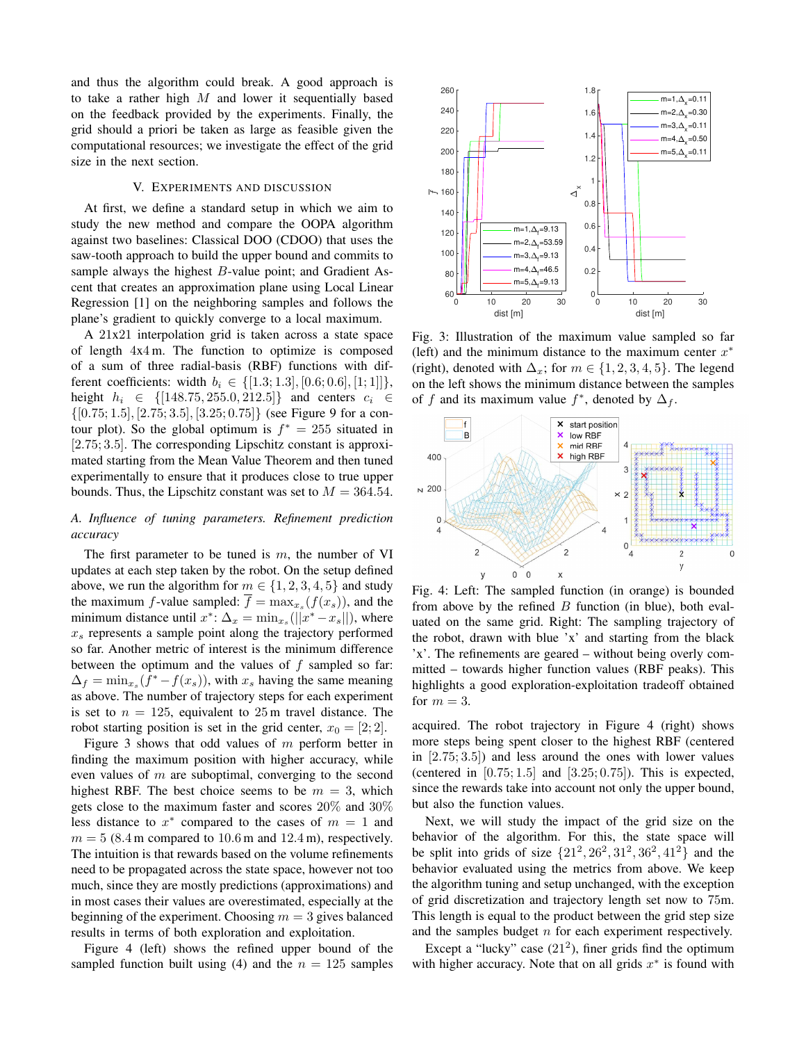and thus the algorithm could break. A good approach is to take a rather high  $M$  and lower it sequentially based on the feedback provided by the experiments. Finally, the grid should a priori be taken as large as feasible given the computational resources; we investigate the effect of the grid size in the next section.

## V. EXPERIMENTS AND DISCUSSION

At first, we define a standard setup in which we aim to study the new method and compare the OOPA algorithm against two baselines: Classical DOO (CDOO) that uses the saw-tooth approach to build the upper bound and commits to sample always the highest B-value point; and Gradient Ascent that creates an approximation plane using Local Linear Regression [1] on the neighboring samples and follows the plane's gradient to quickly converge to a local maximum.

A 21x21 interpolation grid is taken across a state space of length 4x4 m. The function to optimize is composed of a sum of three radial-basis (RBF) functions with different coefficients: width  $b_i \in \{[1.3; 1.3], [0.6; 0.6], [1; 1]]\},\$ height  $h_i \in \{ [148.75, 255.0, 212.5] \}$  and centers  $c_i \in$  $\{[0.75; 1.5], [2.75; 3.5], [3.25; 0.75]\}$  (see Figure 9 for a contour plot). So the global optimum is  $f^* = 255$  situated in [2.75; 3.5]. The corresponding Lipschitz constant is approximated starting from the Mean Value Theorem and then tuned experimentally to ensure that it produces close to true upper bounds. Thus, the Lipschitz constant was set to  $M = 364.54$ .

# *A. Influence of tuning parameters. Refinement prediction accuracy*

The first parameter to be tuned is  $m$ , the number of VI updates at each step taken by the robot. On the setup defined above, we run the algorithm for  $m \in \{1, 2, 3, 4, 5\}$  and study the maximum f-value sampled:  $f = \max_{x_s} (f(x_s))$ , and the minimum distance until  $x^*$ :  $\Delta_x = \min_{x_s} (||x^* - x_s||)$ , where  $x<sub>s</sub>$  represents a sample point along the trajectory performed so far. Another metric of interest is the minimum difference between the optimum and the values of  $f$  sampled so far:  $\Delta_f = \min_{x_s} (\bar{f}^* - f(x_s))$ , with  $x_s$  having the same meaning as above. The number of trajectory steps for each experiment is set to  $n = 125$ , equivalent to 25 m travel distance. The robot starting position is set in the grid center,  $x_0 = [2, 2]$ .

Figure 3 shows that odd values of m perform better in finding the maximum position with higher accuracy, while even values of m are suboptimal, converging to the second highest RBF. The best choice seems to be  $m = 3$ , which gets close to the maximum faster and scores 20% and 30% less distance to  $x^*$  compared to the cases of  $m = 1$  and  $m = 5$  (8.4 m compared to 10.6 m and 12.4 m), respectively. The intuition is that rewards based on the volume refinements need to be propagated across the state space, however not too much, since they are mostly predictions (approximations) and in most cases their values are overestimated, especially at the beginning of the experiment. Choosing  $m = 3$  gives balanced results in terms of both exploration and exploitation.

Figure 4 (left) shows the refined upper bound of the sampled function built using (4) and the  $n = 125$  samples



Fig. 3: Illustration of the maximum value sampled so far (left) and the minimum distance to the maximum center  $x^*$ (right), denoted with  $\Delta_x$ ; for  $m \in \{1, 2, 3, 4, 5\}$ . The legend on the left shows the minimum distance between the samples of f and its maximum value  $f^*$ , denoted by  $\Delta_f$ .



Fig. 4: Left: The sampled function (in orange) is bounded from above by the refined  $B$  function (in blue), both evaluated on the same grid. Right: The sampling trajectory of the robot, drawn with blue 'x' and starting from the black 'x'. The refinements are geared – without being overly committed – towards higher function values (RBF peaks). This highlights a good exploration-exploitation tradeoff obtained for  $m = 3$ .

acquired. The robot trajectory in Figure 4 (right) shows more steps being spent closer to the highest RBF (centered in  $[2.75; 3.5]$  and less around the ones with lower values (centered in  $[0.75; 1.5]$  and  $[3.25; 0.75]$ ). This is expected, since the rewards take into account not only the upper bound, but also the function values.

Next, we will study the impact of the grid size on the behavior of the algorithm. For this, the state space will be split into grids of size  $\{21^2, 26^2, 31^2, 36^2, 41^2\}$  and the behavior evaluated using the metrics from above. We keep the algorithm tuning and setup unchanged, with the exception of grid discretization and trajectory length set now to 75m. This length is equal to the product between the grid step size and the samples budget n for each experiment respectively.

Except a "lucky" case  $(21^2)$ , finer grids find the optimum with higher accuracy. Note that on all grids  $x^*$  is found with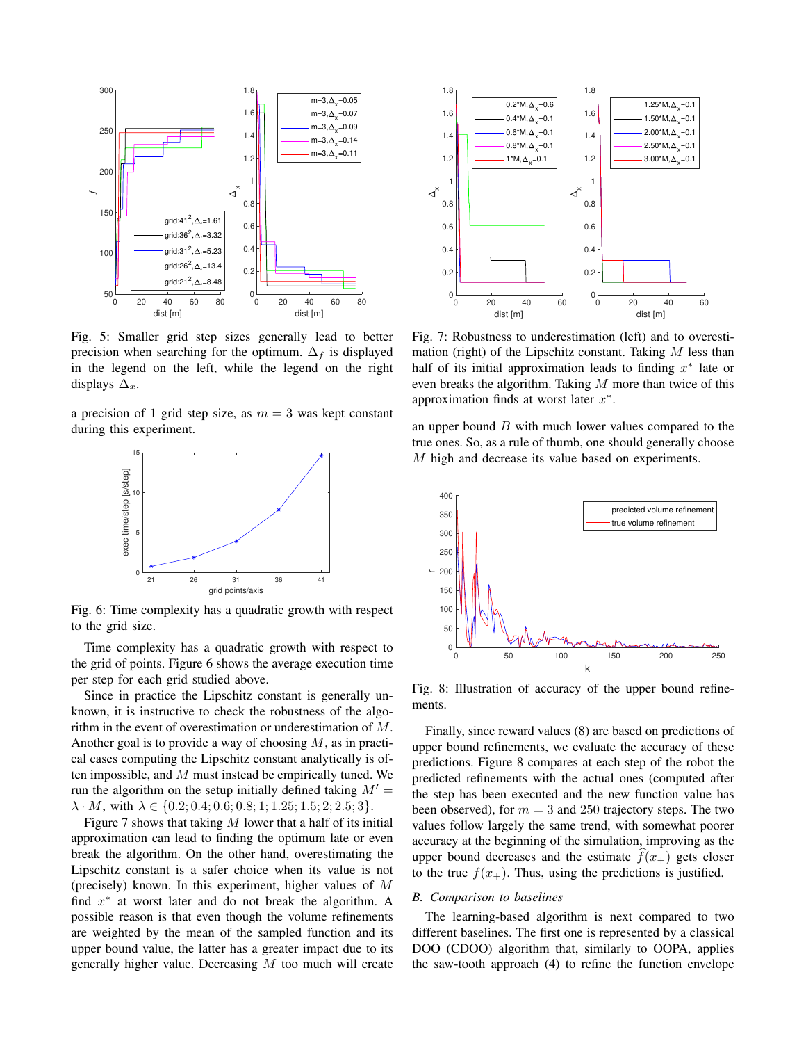

Fig. 5: Smaller grid step sizes generally lead to better precision when searching for the optimum.  $\Delta_f$  is displayed in the legend on the left, while the legend on the right displays  $\Delta_x$ .

a precision of 1 grid step size, as  $m = 3$  was kept constant during this experiment.



Fig. 6: Time complexity has a quadratic growth with respect to the grid size.

Time complexity has a quadratic growth with respect to the grid of points. Figure 6 shows the average execution time per step for each grid studied above.

Since in practice the Lipschitz constant is generally unknown, it is instructive to check the robustness of the algorithm in the event of overestimation or underestimation of M. Another goal is to provide a way of choosing M, as in practical cases computing the Lipschitz constant analytically is often impossible, and M must instead be empirically tuned. We run the algorithm on the setup initially defined taking  $M' =$  $\lambda \cdot M$ , with  $\lambda \in \{0.2; 0.4; 0.6; 0.8; 1; 1.25; 1.5; 2; 2.5; 3\}.$ 

Figure 7 shows that taking  $M$  lower that a half of its initial approximation can lead to finding the optimum late or even break the algorithm. On the other hand, overestimating the Lipschitz constant is a safer choice when its value is not (precisely) known. In this experiment, higher values of M find  $x^*$  at worst later and do not break the algorithm. A possible reason is that even though the volume refinements are weighted by the mean of the sampled function and its upper bound value, the latter has a greater impact due to its generally higher value. Decreasing  $M$  too much will create



Fig. 7: Robustness to underestimation (left) and to overestimation (right) of the Lipschitz constant. Taking  $M$  less than half of its initial approximation leads to finding  $x^*$  late or even breaks the algorithm. Taking  $M$  more than twice of this approximation finds at worst later  $x^*$ .

an upper bound  $B$  with much lower values compared to the true ones. So, as a rule of thumb, one should generally choose M high and decrease its value based on experiments.



Fig. 8: Illustration of accuracy of the upper bound refinements.

Finally, since reward values (8) are based on predictions of upper bound refinements, we evaluate the accuracy of these predictions. Figure 8 compares at each step of the robot the predicted refinements with the actual ones (computed after the step has been executed and the new function value has been observed), for  $m = 3$  and 250 trajectory steps. The two values follow largely the same trend, with somewhat poorer accuracy at the beginning of the simulation, improving as the upper bound decreases and the estimate  $f(x_+)$  gets closer to the true  $f(x_+)$ . Thus, using the predictions is justified.

## *B. Comparison to baselines*

The learning-based algorithm is next compared to two different baselines. The first one is represented by a classical DOO (CDOO) algorithm that, similarly to OOPA, applies the saw-tooth approach (4) to refine the function envelope